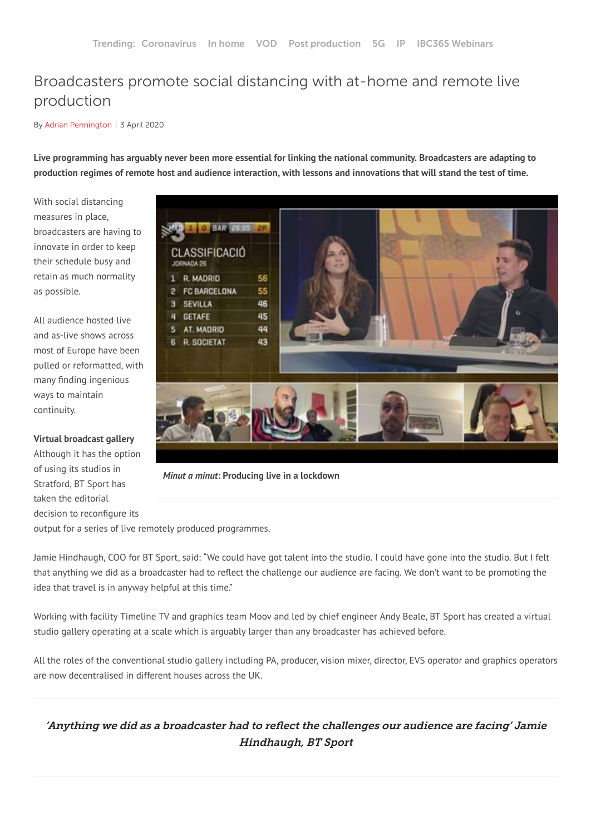# Broadcasters promote social distancing with at-home and remote live production

By Adrian [Pennington](https://www.ibc.org/adrian-pennington/1024.bio) | 3 April 2020

Live programming has arguably never been more essential for linking the national community. Broadcasters are adapting to production regimes of remote host and audience interaction, with lessons and innovations that will stand the test of time.

With social distancing measures in place, broadcasters are having to innovate in order to keep their schedule busy and retain as much normality as possible.

All audience hosted live and as-live shows across most of Europe have been pulled or reformatted, with many finding ingenious ways to maintain continuity.

**Virtual broadcast gallery**

Although it has the option of using its studios in Stratford, BT Sport has taken the editorial decision to reconfigure its



*Minut a minut***: Producing live in a lockdown**

output for a series of live remotely produced programmes.

Jamie Hindhaugh, COO for BT Sport, said: "We could have got talent into the studio. I could have gone into the studio. But I felt that anything we did as a broadcaster had to reflect the challenge our audience are facing. We don't want to be promoting the idea that travel is in anyway helpful at this time. "

Working with facility Timeline TV and graphics team Moov and led by chief engineer Andy Beale, BT Sport has created a virtual studio gallery operating at a scale which is arguably larger than any broadcaster has achieved before.

All the roles of the conventional studio gallery including PA, producer, vision mixer, director, EVS operator and graphics operators are now decentralised in different houses across the UK.

'Anything we did as a broadcaster had to reflect the challenges our audience are facing' Jamie Hindhaugh, BT Sport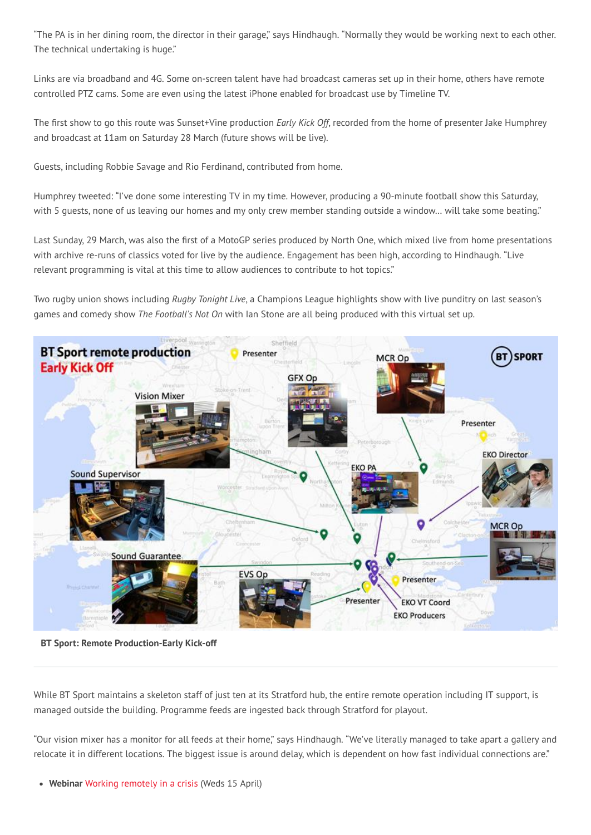"The PA is in her dining room, the director in their garage," says Hindhaugh. "Normally they would be working next to each other. The technical undertaking is huge."

Links are via broadband and 4G. Some on-screen talent have had broadcast cameras set up in their home, others have remote controlled PTZ cams. Some are even using the latest iPhone enabled for broadcast use by Timeline TV.

The first show to go this route was Sunset+Vine production Early Kick Off, recorded from the home of presenter Jake Humphrey and broadcast at 11am on Saturday 28 March (future shows will be live).

Guests, including Robbie Savage and Rio Ferdinand, contributed from home.

Humphrey tweeted: "I've done some interesting TV in my time. However, producing a 90-minute football show this Saturday, with 5 quests, none of us leaving our homes and my only crew member standing outside a window... will take some beating."

Last Sunday, 29 March, was also the first of a MotoGP series produced by North One, which mixed live from home presentations with archive re-runs of classics voted for live by the audience. Engagement has been high, according to Hindhaugh. "Live relevant programming is vital at this time to allow audiences to contribute to hot topics."

Two rugby union shows including Rugby Tonight Live, a Champions League highlights show with live punditry on last season's games and comedy show The Football's Not On with Ian Stone are all being produced with this virtual set up.



**BT Sport: Remote Production-Early Kick-off** 

While BT Sport maintains a skeleton staff of just ten at its Stratford hub, the entire remote operation including IT support, is managed outside the building. Programme feeds are ingested back through Stratford for playout.

"Our vision mixer has a monitor for all feeds at their home," says Hindhaugh. "We've literally managed to take apart a gallery and relocate it in different locations. The biggest issue is around delay, which is dependent on how fast individual connections are."

• Webinar Working remotely in a crisis (Weds 15 April)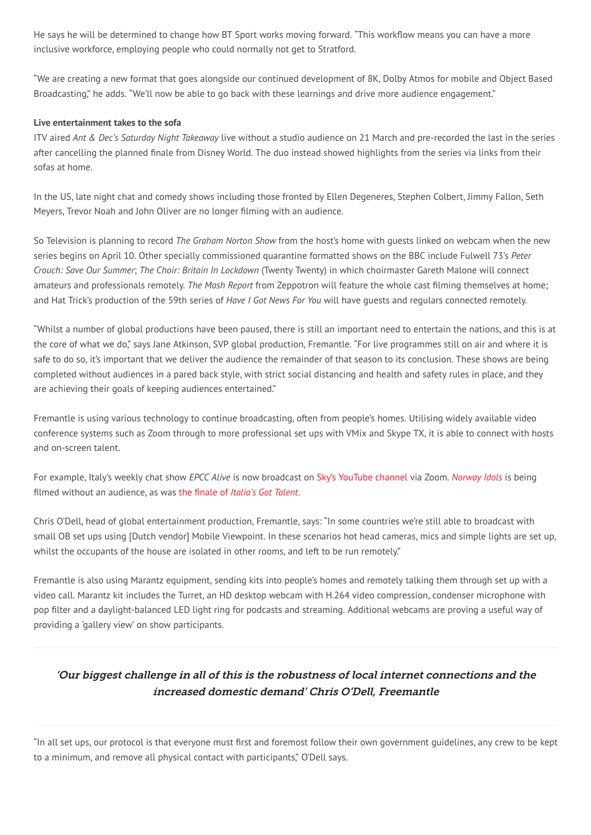He says he will be determined to change how BT Sport works moving forward. "This workflow means you can have a more inclusive workforce, employing people who could normally not get to Stratford.

"We are creating a new format that goes alongside our continued development of 8K, Dolby Atmos for mobile and Object Based Broadcasting," he adds. "We'll now be able to go back with these learnings and drive more audience engagement."

### Live entertainment takes to the sofa

ITV aired Ant & Dec's Saturday Night Takeaway live without a studio audience on 21 March and pre-recorded the last in the series after cancelling the planned finale from Disney World. The duo instead showed highlights from the series via links from their sofas at home.

In the US, late night chat and comedy shows including those fronted by Ellen Degeneres, Stephen Colbert, Jimmy Fallon, Seth Meyers, Trevor Noah and John Oliver are no longer filming with an audience.

So Television is planning to record The Graham Norton Show from the host's home with quests linked on webcam when the new series begins on April 10. Other specially commissioned guarantine formatted shows on the BBC include Fulwell 73's Peter Crouch: Save Our Summer; The Choir: Britain In Lockdown (Twenty Twenty) in which choirmaster Gareth Malone will connect amateurs and professionals remotely. The Mash Report from Zeppotron will feature the whole cast filming themselves at home; and Hat Trick's production of the 59th series of Have I Got News For You will have quests and regulars connected remotely.

"Whilst a number of global productions have been paused, there is still an important need to entertain the nations, and this is at the core of what we do," says Jane Atkinson, SVP global production, Fremantle. "For live programmes still on air and where it is safe to do so, it's important that we deliver the audience the remainder of that season to its conclusion. These shows are being completed without audiences in a pared back style, with strict social distancing and health and safety rules in place, and they are achieving their goals of keeping audiences entertained."

Fremantle is using various technology to continue broadcasting, often from people's homes. Utilising widely available video conference systems such as Zoom through to more professional set ups with VMix and Skype TX, it is able to connect with hosts and on-screen talent.

For example, Italy's weekly chat show EPCC Alive is now broadcast on Sky's YouTube channel via Zoom. Norway Idols is being filmed without an audience, as was the finale of Italia's Got Talent.

Chris O'Dell, head of global entertainment production, Fremantle, says: "In some countries we're still able to broadcast with small OB set ups using [Dutch vendor] Mobile Viewpoint. In these scenarios hot head cameras, mics and simple lights are set up, whilst the occupants of the house are isolated in other rooms, and left to be run remotely."

Fremantle is also using Marantz equipment, sending kits into people's homes and remotely talking them through set up with a video call. Marantz kit includes the Turret, an HD desktop webcam with H.264 video compression, condenser microphone with pop filter and a daylight-balanced LED light ring for podcasts and streaming. Additional webcams are proving a useful way of providing a 'gallery view' on show participants.

## Our biggest challenge in all of this is the robustness of local internet connections and the increased domestic demand' Chris O'Dell, Freemantle

"In all set ups, our protocol is that everyone must first and foremost follow their own government guidelines, any crew to be kept to a minimum, and remove all physical contact with participants," O'Dell says.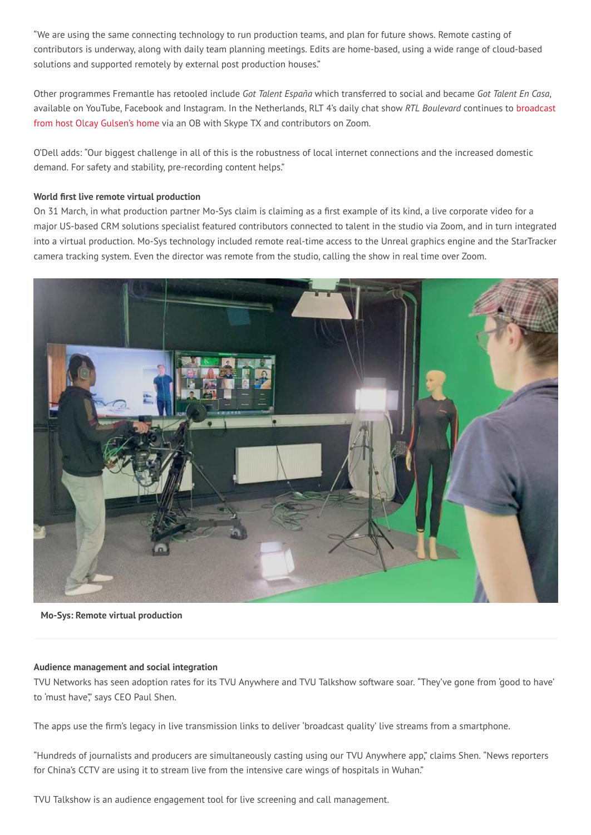"We are using the same connecting technology to run production teams, and plan for future shows. Remote casting of contributors is underway, along with daily team planning meetings. Edits are home-based, using a wide range of cloud-based solutions and supported remotely by external post production houses."

Other programmes Fremantle has retooled include Got Talent España which transferred to social and became Got Talent En Casa, available on YouTube, Facebook and Instagram. In the Netherlands, RLT 4's daily chat show RTL Boulevard continues to broadcast from host Olcay Gulsen's home via an OB with Skype TX and contributors on Zoom.

O'Dell adds: "Our biggest challenge in all of this is the robustness of local internet connections and the increased domestic demand. For safety and stability, pre-recording content helps."

### World first live remote virtual production

On 31 March, in what production partner Mo-Sys claim is claiming as a first example of its kind, a live corporate video for a major US-based CRM solutions specialist featured contributors connected to talent in the studio via Zoom, and in turn integrated into a virtual production. Mo-Sys technology included remote real-time access to the Unreal graphics engine and the StarTracker camera tracking system. Even the director was remote from the studio, calling the show in real time over Zoom.



Mo-Sys: Remote virtual production

### Audience management and social integration

TVU Networks has seen adoption rates for its TVU Anywhere and TVU Talkshow software soar. "They've gone from 'good to have' to 'must have", says CEO Paul Shen.

The apps use the firm's legacy in live transmission links to deliver 'broadcast quality' live streams from a smartphone.

"Hundreds of journalists and producers are simultaneously casting using our TVU Anywhere app," claims Shen. "News reporters for China's CCTV are using it to stream live from the intensive care wings of hospitals in Wuhan."

TVU Talkshow is an audience engagement tool for live screening and call management.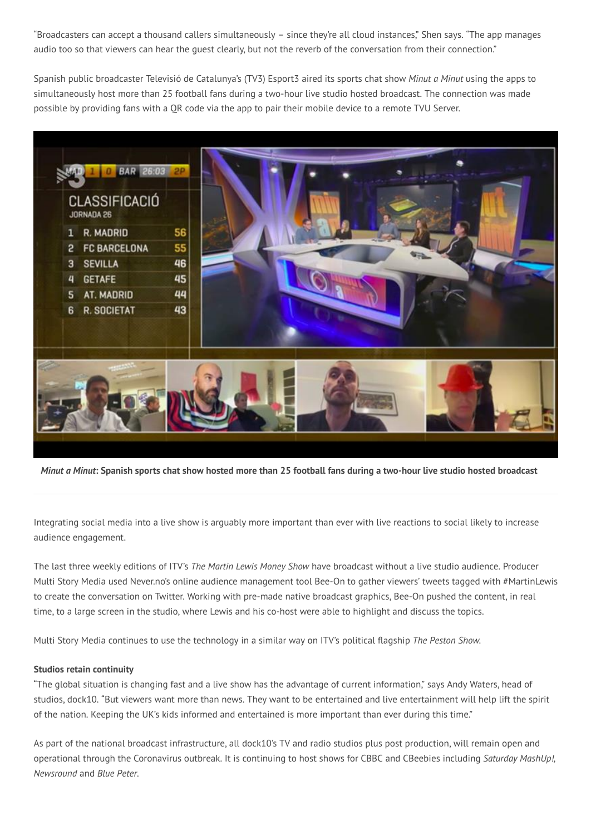"Broadcasters can accept a thousand callers simultaneously – since they're all cloud instances," Shen says. "The app manages audio too so that viewers can hear the quest clearly, but not the reverb of the conversation from their connection."

Spanish public broadcaster Televisió de Catalunya's (TV3) Esport3 aired its sports chat show Minut a Minut using the apps to simultaneously host more than 25 football fans during a two-hour live studio hosted broadcast. The connection was made possible by providing fans with a OR code via the app to pair their mobile device to a remote TVU Server.



Minut a Minut: Spanish sports chat show hosted more than 25 football fans during a two-hour live studio hosted broadcast

Integrating social media into a live show is arguably more important than ever with live reactions to social likely to increase audience engagement.

The last three weekly editions of ITV's The Martin Lewis Money Show have broadcast without a live studio audience. Producer Multi Story Media used Never.no's online audience management tool Bee-On to gather viewers' tweets tagged with #MartinLewis to create the conversation on Twitter. Working with pre-made native broadcast graphics, Bee-On pushed the content, in real time, to a large screen in the studio, where Lewis and his co-host were able to highlight and discuss the topics.

Multi Story Media continues to use the technology in a similar way on ITV's political flagship The Peston Show.

### **Studios retain continuity**

"The global situation is changing fast and a live show has the advantage of current information," says Andy Waters, head of studios, dock10. "But viewers want more than news. They want to be entertained and live entertainment will help lift the spirit of the nation. Keeping the UK's kids informed and entertained is more important than ever during this time."

As part of the national broadcast infrastructure, all dock10's TV and radio studios plus post production, will remain open and operational through the Coronavirus outbreak. It is continuing to host shows for CBBC and CBeebies including Saturday MashUp!, Newsround and Blue Peter.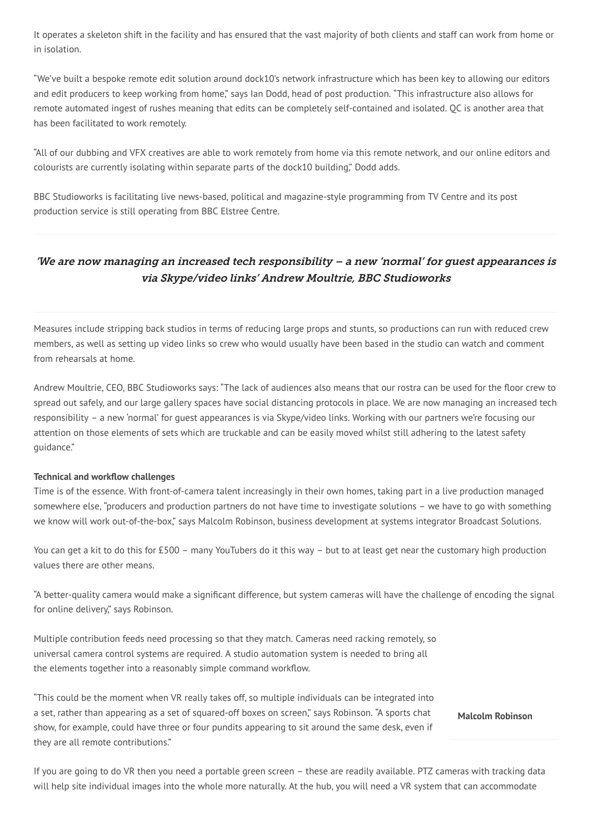It operates a skeleton shift in the facility and has ensured that the vast majority of both clients and staff can work from home or in isolation.

"We've built a bespoke remote edit solution around dock10's network infrastructure which has been key to allowing our editors and edit producers to keep working from home," says lan Dodd, head of post production. "This infrastructure also allows for remote automated ingest of rushes meaning that edits can be completely self-contained and isolated. OC is another area that has been facilitated to work remotely.

"All of our dubbing and VFX creatives are able to work remotely from home via this remote network, and our online editors and colourists are currently isolating within separate parts of the dock10 building." Dodd adds.

BBC Studioworks is facilitating live news-based, political and magazine-style programming from TV Centre and its post production service is still operating from BBC Elstree Centre.

### 'We are now managing an increased tech responsibility - a new 'normal' for guest appearances is via Skype/video links' Andrew Moultrie, BBC Studioworks

Measures include stripping back studios in terms of reducing large props and stunts, so productions can run with reduced crew members, as well as setting up video links so crew who would usually have been based in the studio can watch and comment from rehearsals at home.

Andrew Moultrie, CEO, BBC Studioworks says: "The lack of audiences also means that our rostra can be used for the floor crew to spread out safely, and our large gallery spaces have social distancing protocols in place. We are now managing an increased tech responsibility – a new 'normal' for quest appearances is via Skype/video links. Working with our partners we're focusing our attention on those elements of sets which are truckable and can be easily moved whilst still adhering to the latest safety quidance."

### **Technical and workflow challenges**

Time is of the essence. With front-of-camera talent increasingly in their own homes, taking part in a live production managed somewhere else, "producers and production partners do not have time to investigate solutions - we have to go with something we know will work out-of-the-box," says Malcolm Robinson, business development at systems integrator Broadcast Solutions.

You can get a kit to do this for £500 - many YouTubers do it this way - but to at least get near the customary high production values there are other means.

"A better-quality camera would make a significant difference, but system cameras will have the challenge of encoding the signal for online delivery," says Robinson.

Multiple contribution feeds need processing so that they match. Cameras need racking remotely, so universal camera control systems are required. A studio automation system is needed to bring all the elements together into a reasonably simple command workflow.

"This could be the moment when VR really takes off, so multiple individuals can be integrated into a set, rather than appearing as a set of squared-off boxes on screen," says Robinson. "A sports chat show, for example, could have three or four pundits appearing to sit around the same desk, even if they are all remote contributions."

**Malcolm Robinson** 

If you are going to do VR then you need a portable green screen - these are readily available. PTZ cameras with tracking data will help site individual images into the whole more naturally. At the hub, you will need a VR system that can accommodate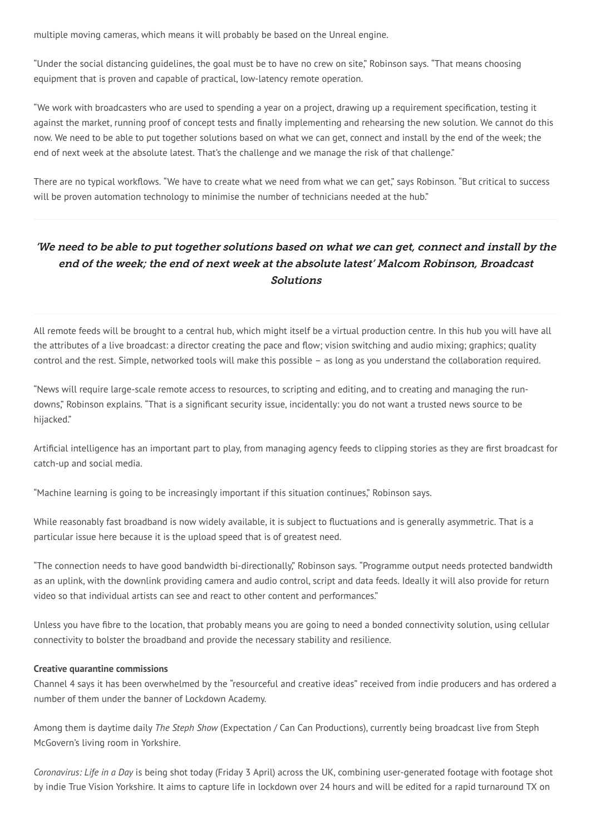multiple moving cameras, which means it will probably be based on the Unreal engine.

"Under the social distancing quidelines, the goal must be to have no crew on site," Robinson says. "That means choosing equipment that is proven and capable of practical, low-latency remote operation.

"We work with broadcasters who are used to spending a year on a project, drawing up a requirement specification, testing it against the market, running proof of concept tests and finally implementing and rehearsing the new solution. We cannot do this now. We need to be able to put together solutions based on what we can get, connect and install by the end of the week; the end of next week at the absolute latest. That's the challenge and we manage the risk of that challenge."

There are no typical workflows. "We have to create what we need from what we can get," says Robinson. "But critical to success will be proven automation technology to minimise the number of technicians needed at the hub."

# 'We need to be able to put together solutions based on what we can get, connect and install by the end of the week; the end of next week at the absolute latest' Malcom Robinson, Broadcast **Solutions**

All remote feeds will be brought to a central hub, which might itself be a virtual production centre. In this hub you will have all the attributes of a live broadcast: a director creating the pace and flow; vision switching and audio mixing; graphics; quality control and the rest. Simple, networked tools will make this possible - as long as you understand the collaboration required.

"News will require large-scale remote access to resources, to scripting and editing, and to creating and managing the rundowns," Robinson explains. "That is a significant security issue, incidentally: you do not want a trusted news source to be hijacked."

Artificial intelligence has an important part to play, from managing agency feeds to clipping stories as they are first broadcast for catch-up and social media.

"Machine learning is going to be increasingly important if this situation continues," Robinson says.

While reasonably fast broadband is now widely available, it is subject to fluctuations and is generally asymmetric. That is a particular issue here because it is the upload speed that is of greatest need.

"The connection needs to have good bandwidth bi-directionally," Robinson says. "Programme output needs protected bandwidth as an uplink, with the downlink providing camera and audio control, script and data feeds. Ideally it will also provide for return video so that individual artists can see and react to other content and performances."

Unless you have fibre to the location, that probably means you are going to need a bonded connectivity solution, using cellular connectivity to bolster the broadband and provide the necessary stability and resilience.

### **Creative quarantine commissions**

Channel 4 says it has been overwhelmed by the "resourceful and creative ideas" received from indie producers and has ordered a number of them under the banner of Lockdown Academy.

Among them is daytime daily The Steph Show (Expectation / Can Can Productions), currently being broadcast live from Steph McGovern's living room in Yorkshire.

Coronavirus: Life in a Day is being shot today (Friday 3 April) across the UK, combining user-generated footage with footage shot by indie True Vision Yorkshire. It aims to capture life in lockdown over 24 hours and will be edited for a rapid turnaround TX on